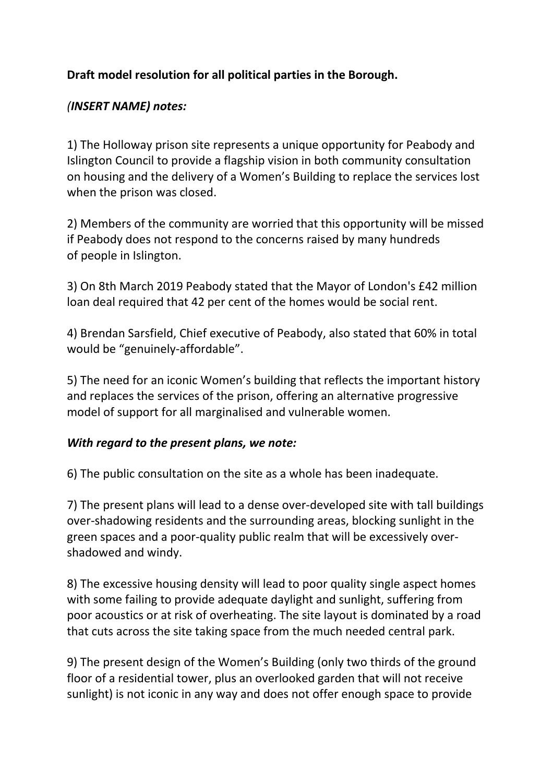# **Draft model resolution for all political parties in the Borough.**

### *(INSERT NAME) notes:*

1) The Holloway prison site represents a unique opportunity for Peabody and Islington Council to provide a flagship vision in both community consultation on housing and the delivery of a Women's Building to replace the services lost when the prison was closed.

2) Members of the community are worried that this opportunity will be missed if Peabody does not respond to the concerns raised by many hundreds of people in Islington.

3) On 8th March 2019 Peabody stated that the Mayor of London's £42 million loan deal required that 42 per cent of the homes would be social rent.

4) Brendan Sarsfield, Chief executive of Peabody, also stated that 60% in total would be "genuinely-affordable".

5) The need for an iconic Women's building that reflects the important history and replaces the services of the prison, offering an alternative progressive model of support for all marginalised and vulnerable women.

### *With regard to the present plans, we note:*

6) The public consultation on the site as a whole has been inadequate.

7) The present plans will lead to a dense over-developed site with tall buildings over-shadowing residents and the surrounding areas, blocking sunlight in the green spaces and a poor-quality public realm that will be excessively overshadowed and windy.

8) The excessive housing density will lead to poor quality single aspect homes with some failing to provide adequate daylight and sunlight, suffering from poor acoustics or at risk of overheating. The site layout is dominated by a road that cuts across the site taking space from the much needed central park.

9) The present design of the Women's Building (only two thirds of the ground floor of a residential tower, plus an overlooked garden that will not receive sunlight) is not iconic in any way and does not offer enough space to provide